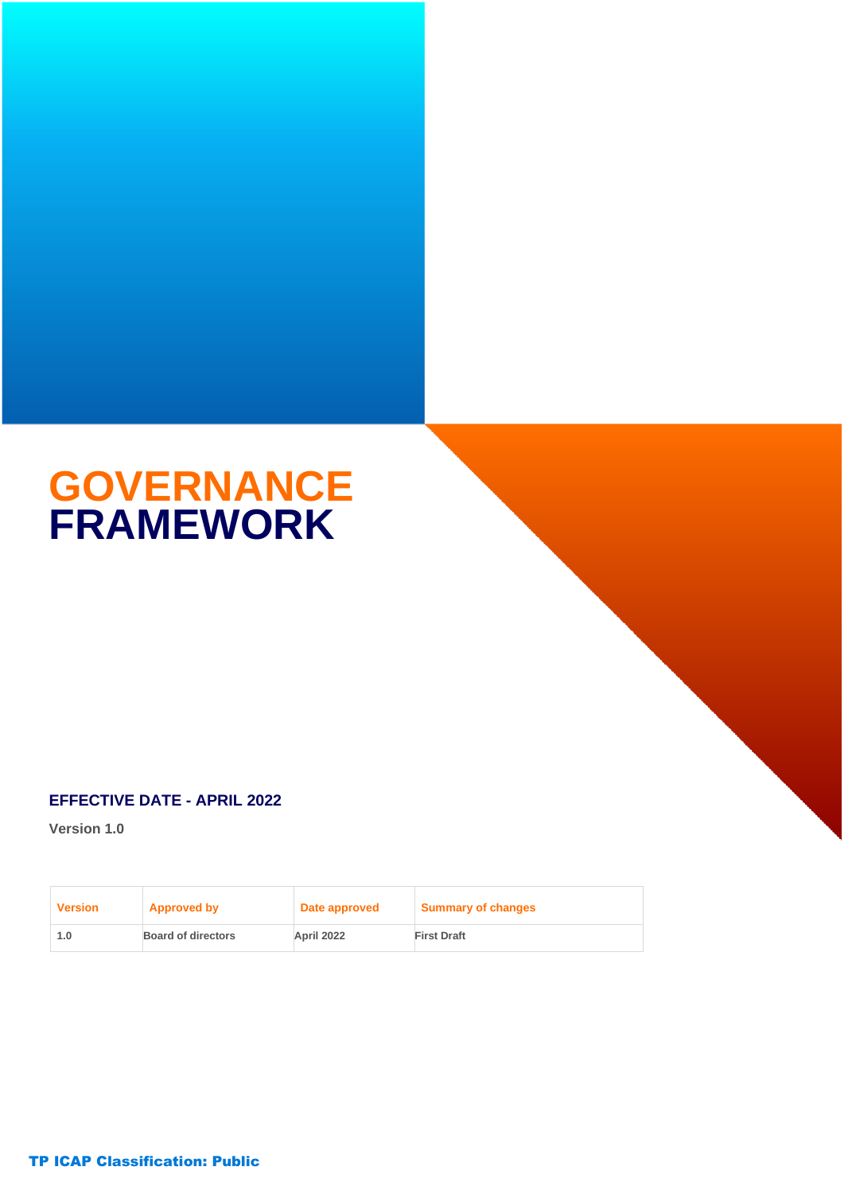# **GOVERNANCE FRAMEWORK**

### **EFFECTIVE DATE - APRIL 2022**

**Version 1.0**

| <b>Version</b> | <b>Approved by</b>        | Date approved | Summary of changes |
|----------------|---------------------------|---------------|--------------------|
| 1.0            | <b>Board of directors</b> | April 2022    | <b>First Draft</b> |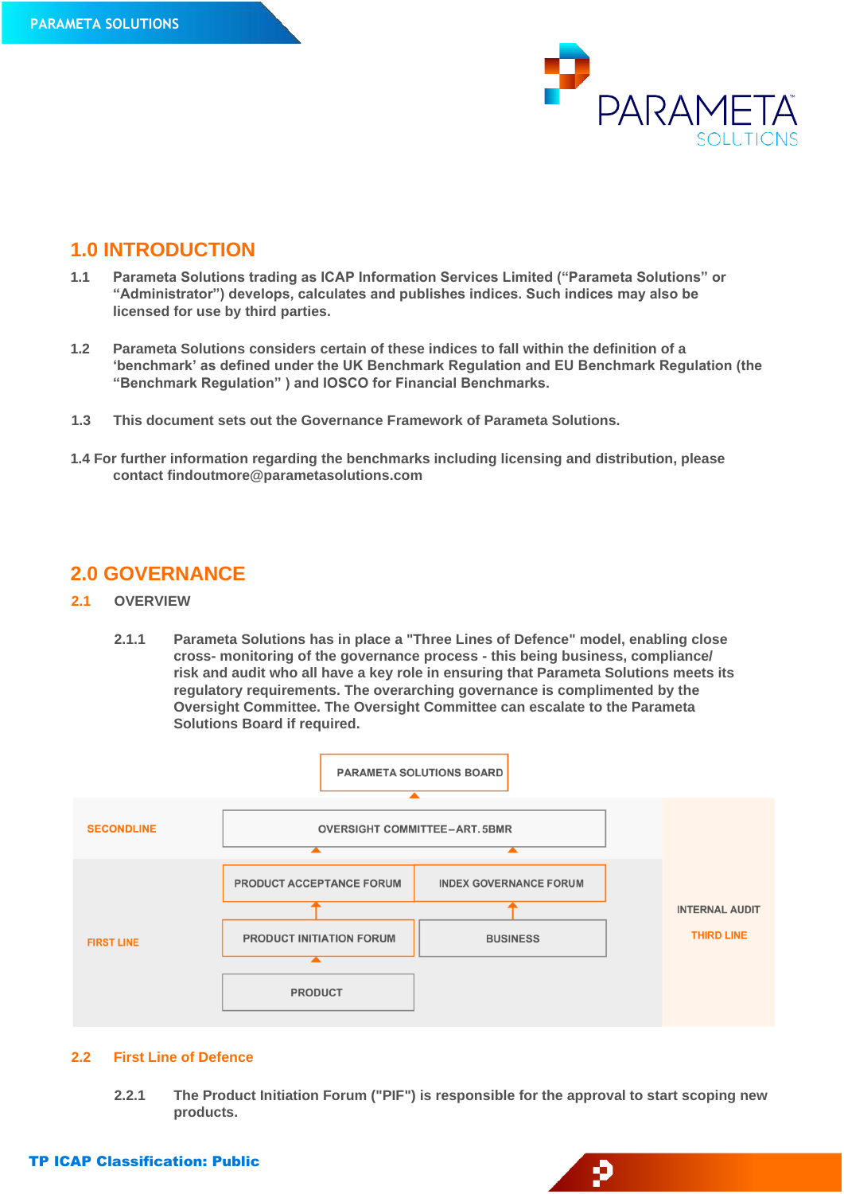

## **1.0 INTRODUCTION**

- **1.1 Parameta Solutions trading as ICAP Information Services Limited ("Parameta Solutions" or "Administrator") develops, calculates and publishes indices. Such indices may also be licensed for use by third parties.**
- **1.2 Parameta Solutions considers certain of these indices to fall within the definition of a 'benchmark' as defined under the UK Benchmark Regulation and EU Benchmark Regulation (the "Benchmark Regulation" ) and IOSCO for Financial Benchmarks.**
- **1.3 This document sets out the Governance Framework of Parameta Solutions.**
- **1.4 For further information regarding the benchmarks including licensing and distribution, please contact findoutmore@parametasolutions.com**

# **2.0 GOVERNANCE**

- **2.1 OVERVIEW**
	- **2.1.1 Parameta Solutions has in place a "Three Lines of Defence" model, enabling close cross- monitoring of the governance process - this being business, compliance/ risk and audit who all have a key role in ensuring that Parameta Solutions meets its regulatory requirements. The overarching governance is complimented by the Oversight Committee. The Oversight Committee can escalate to the Parameta Solutions Board if required.**



#### **2.2 First Line of Defence**

**2.2.1 The Product Initiation Forum ("PIF") is responsible for the approval to start scoping new products.**

p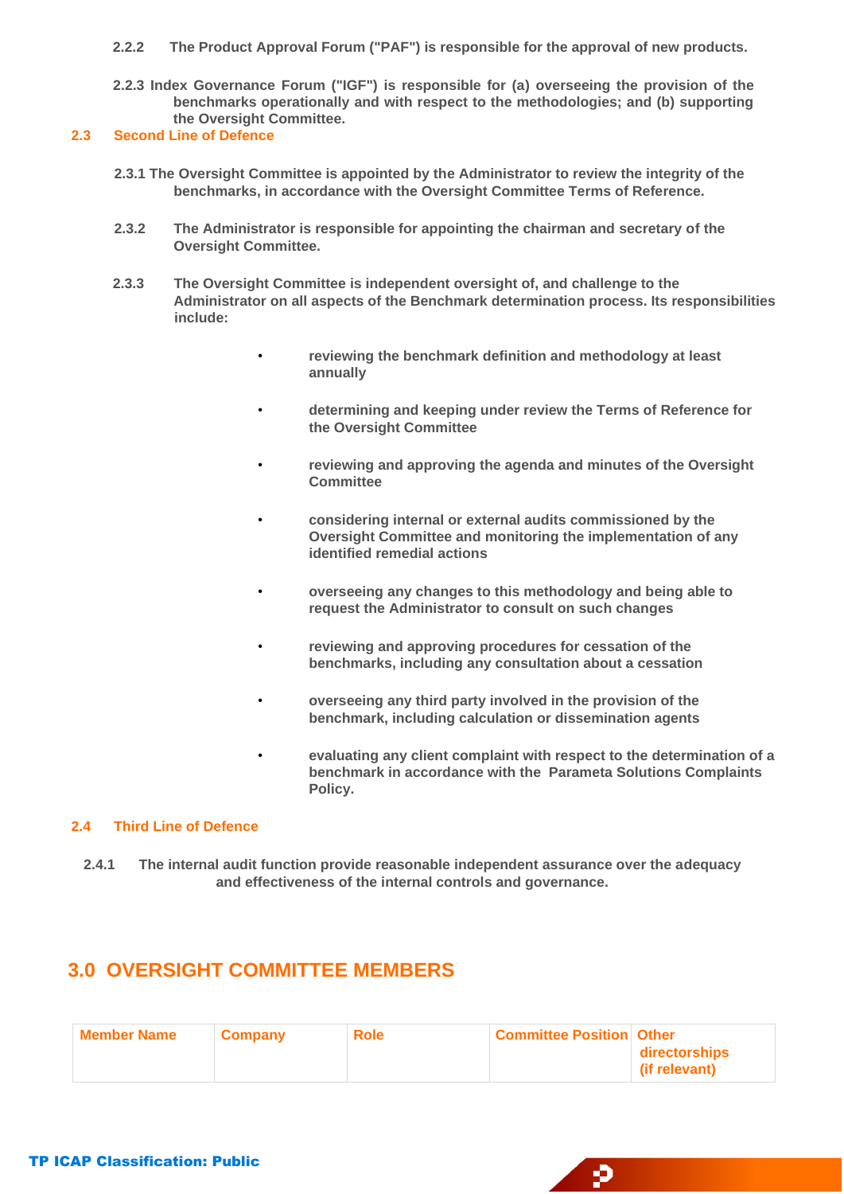- **2.2.2 The Product Approval Forum ("PAF") is responsible for the approval of new products.**
- **2.2.3 Index Governance Forum ("IGF") is responsible for (a) overseeing the provision of the benchmarks operationally and with respect to the methodologies; and (b) supporting the Oversight Committee.**

#### **2.3 Second Line of Defence**

- **2.3.1 The Oversight Committee is appointed by the Administrator to review the integrity of the benchmarks, in accordance with the Oversight Committee Terms of Reference.**
- **2.3.2 The Administrator is responsible for appointing the chairman and secretary of the Oversight Committee.**
- **2.3.3 The Oversight Committee is independent oversight of, and challenge to the Administrator on all aspects of the Benchmark determination process. Its responsibilities include:**
	- **reviewing the benchmark definition and methodology at least annually**
	- **determining and keeping under review the Terms of Reference for the Oversight Committee**
	- **reviewing and approving the agenda and minutes of the Oversight Committee**
	- **considering internal or external audits commissioned by the Oversight Committee and monitoring the implementation of any identified remedial actions**
	- **overseeing any changes to this methodology and being able to request the Administrator to consult on such changes**
	- **reviewing and approving procedures for cessation of the benchmarks, including any consultation about a cessation**
	- **overseeing any third party involved in the provision of the benchmark, including calculation or dissemination agents**
	- **evaluating any client complaint with respect to the determination of a benchmark in accordance with the Parameta Solutions Complaints Policy.**

Đ

#### **2.4 Third Line of Defence**

**2.4.1 The internal audit function provide reasonable independent assurance over the adequacy and effectiveness of the internal controls and governance.**

# **3.0 OVERSIGHT COMMITTEE MEMBERS**

| <b>Member Name</b> | Company | <b>Role</b> | <b>Committee Position Other</b> |                                |
|--------------------|---------|-------------|---------------------------------|--------------------------------|
|                    |         |             |                                 | directorships<br>(if relevant) |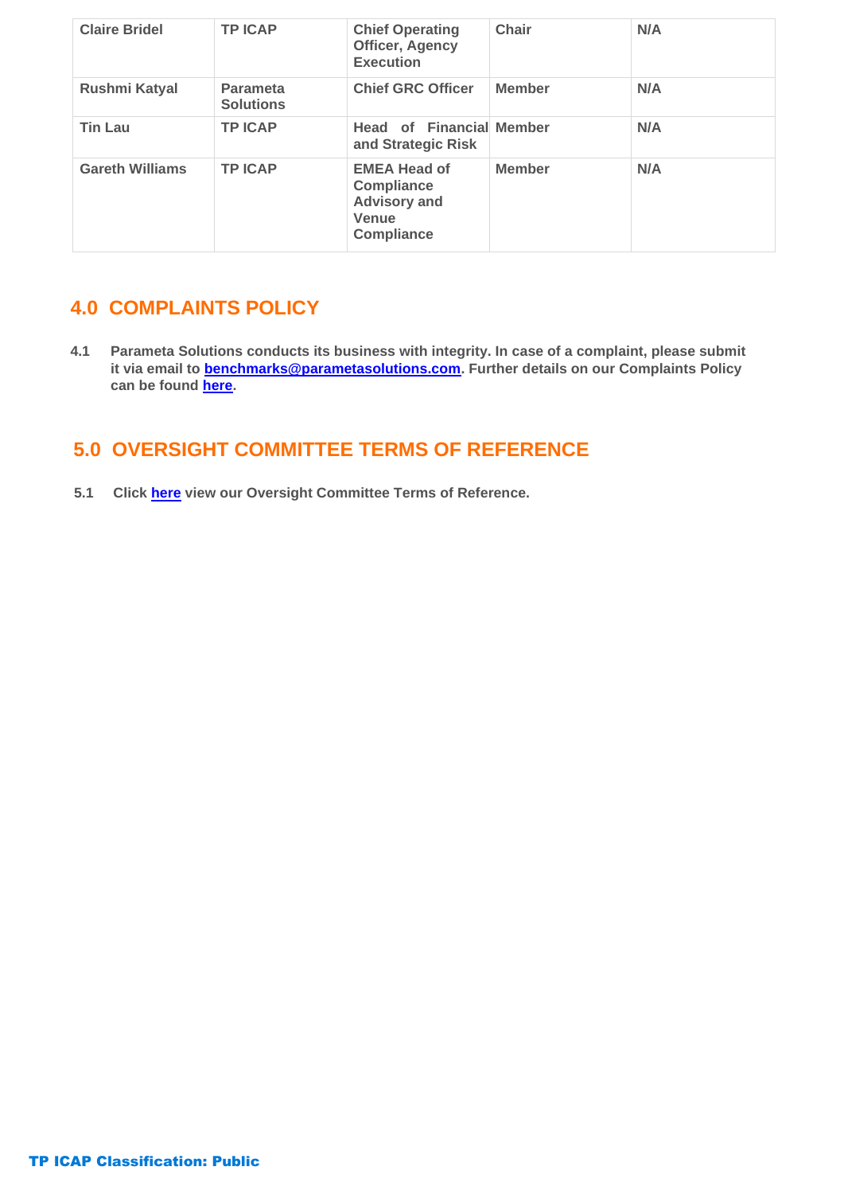| <b>Claire Bridel</b>   | <b>TP ICAP</b>                      | <b>Chief Operating</b><br><b>Officer, Agency</b><br><b>Execution</b>                          | Chair         | N/A |
|------------------------|-------------------------------------|-----------------------------------------------------------------------------------------------|---------------|-----|
| Rushmi Katyal          | <b>Parameta</b><br><b>Solutions</b> | <b>Chief GRC Officer</b>                                                                      | <b>Member</b> | N/A |
| <b>Tin Lau</b>         | <b>TP ICAP</b>                      | <b>Head of Financial Member</b><br>and Strategic Risk                                         |               | N/A |
| <b>Gareth Williams</b> | <b>TPICAP</b>                       | <b>EMEA Head of</b><br><b>Compliance</b><br><b>Advisory and</b><br>Venue<br><b>Compliance</b> | <b>Member</b> | N/A |

# **4.0 COMPLAINTS POLICY**

**4.1 Parameta Solutions conducts its business with integrity. In case of a complaint, please submit it via email to benchmarks@parametasolutions.com. Further details on our Complaints Policy can be found [here.](https://parametasolutions.com/sites/g/files/escbpb156/files/2022-04/PS%20COMPLAINT%20POLICY%20MAR%202022%20V2%20%28002%29.pdf)**

# **5.0 OVERSIGHT COMMITTEE TERMS OF REFERENCE**

 **5.1 Click [here](https://parametasolutions.com/sites/g/files/escbpb156/files/2022-04/PS_OVERSIGHT_COMMITTEE_ToR_MAR_2022_V2%20%28002%29.pdf) view our Oversight Committee Terms of Reference.**